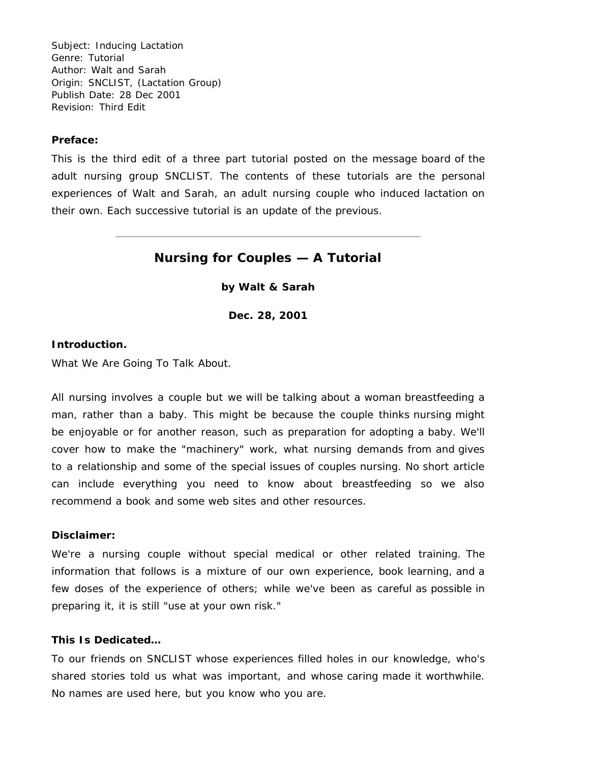Subject: Inducing Lactation Genre: Tutorial Author: Walt and Sarah Origin: SNCLIST, (Lactation Group) Publish Date: 28 Dec 2001 Revision: Third Edit

### **Preface:**

This is the third edit of a three part tutorial posted on the message board of the adult nursing group SNCLIST. The contents of these tutorials are the personal experiences of Walt and Sarah, an adult nursing couple who induced lactation on their own. Each successive tutorial is an update of the previous.

# **Nursing for Couples — A Tutorial**

**by Walt & Sarah**

**Dec. 28, 2001**

# **Introduction.**

What We Are Going To Talk About.

All nursing involves a couple but we will be talking about a woman breastfeeding a man, rather than a baby. This might be because the couple thinks nursing might be enjoyable or for another reason, such as preparation for adopting a baby. We'll cover how to make the "machinery" work, what nursing demands from and gives to a relationship and some of the special issues of couples nursing. No short article can include everything you need to know about breastfeeding so we also recommend a book and some web sites and other resources.

# **Disclaimer:**

We're a nursing couple without special medical or other related training. The information that follows is a mixture of our own experience, book learning, and a few doses of the experience of others; while we've been as careful as possible in preparing it, it is still "use at your own risk."

### **This Is Dedicated…**

To our friends on SNCLIST whose experiences filled holes in our knowledge, who's shared stories told us what was important, and whose caring made it worthwhile. No names are used here, but you know who you are.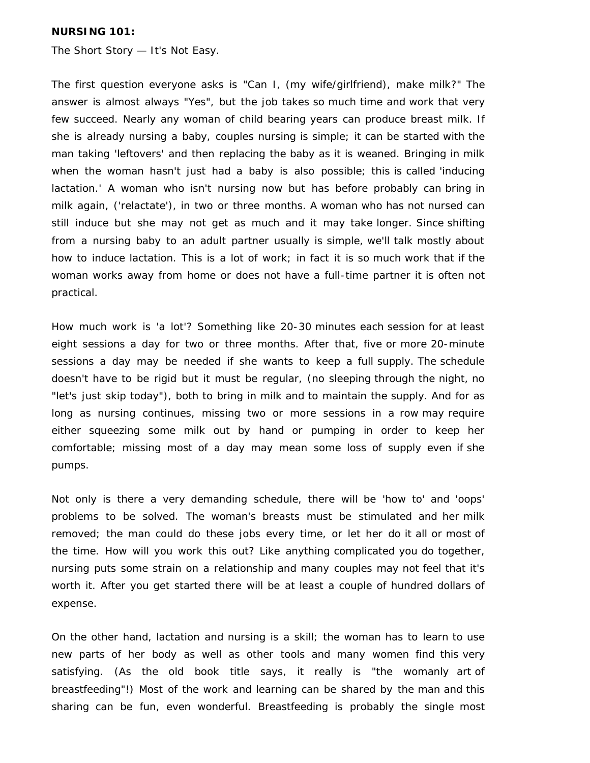# **NURSING 101:**

The Short Story — It's Not Easy.

The first question everyone asks is "Can I, (my wife/girlfriend), make milk?" The answer is almost always "Yes", but the job takes so much time and work that very few succeed. Nearly any woman of child bearing years can produce breast milk. If she is already nursing a baby, couples nursing is simple; it can be started with the man taking 'leftovers' and then replacing the baby as it is weaned. Bringing in milk when the woman hasn't just had a baby is also possible; this is called 'inducing lactation.' A woman who isn't nursing now but has before probably can bring in milk again, ('relactate'), in two or three months. A woman who has not nursed can still induce but she may not get as much and it may take longer. Since shifting from a nursing baby to an adult partner usually is simple, we'll talk mostly about how to induce lactation. This is a lot of work; in fact it is so much work that if the woman works away from home or does not have a full-time partner it is often not practical.

How much work is 'a lot'? Something like 20-30 minutes each session for at least eight sessions a day for two or three months. After that, five or more 20-minute sessions a day may be needed if she wants to keep a full supply. The schedule doesn't have to be rigid but it must be regular, (no sleeping through the night, no "let's just skip today"), both to bring in milk and to maintain the supply. And for as long as nursing continues, missing two or more sessions in a row may require either squeezing some milk out by hand or pumping in order to keep her comfortable; missing most of a day may mean some loss of supply even if she pumps.

Not only is there a very demanding schedule, there will be 'how to' and 'oops' problems to be solved. The woman's breasts must be stimulated and her milk removed; the man could do these jobs every time, or let her do it all or most of the time. How will you work this out? Like anything complicated you do together, nursing puts some strain on a relationship and many couples may not feel that it's worth it. After you get started there will be at least a couple of hundred dollars of expense.

On the other hand, lactation and nursing is a skill; the woman has to learn to use new parts of her body as well as other tools and many women find this very satisfying. (As the old book title says, it really is "the womanly art of breastfeeding"!) Most of the work and learning can be shared by the man and this sharing can be fun, even wonderful. Breastfeeding is probably the single most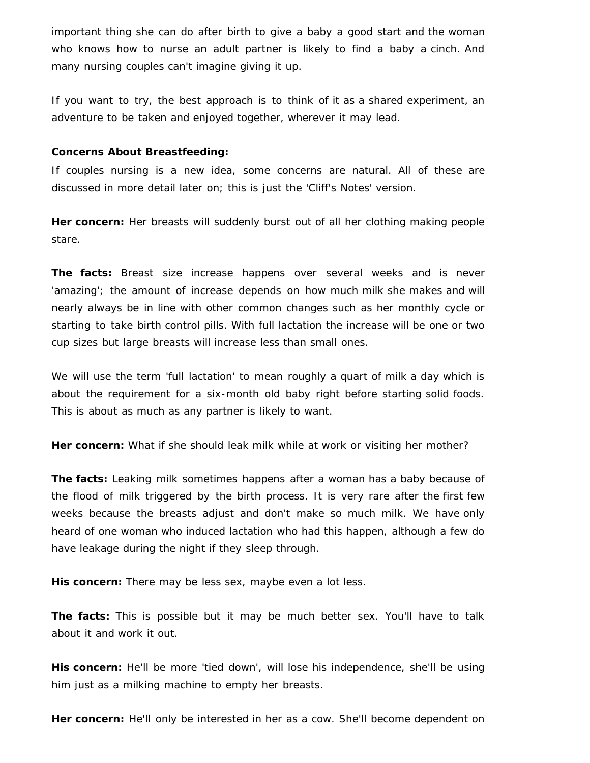important thing she can do after birth to give a baby a good start and the woman who knows how to nurse an adult partner is likely to find a baby a cinch. And many nursing couples can't imagine giving it up.

If you want to try, the best approach is to think of it as a shared experiment, an adventure to be taken and enjoyed together, wherever it may lead.

# **Concerns About Breastfeeding:**

If couples nursing is a new idea, some concerns are natural. All of these are discussed in more detail later on; this is just the 'Cliff's Notes' version.

**Her concern:** Her breasts will suddenly burst out of all her clothing making people stare.

**The facts:** Breast size increase happens over several weeks and is never 'amazing'; the amount of increase depends on how much milk she makes and will nearly always be in line with other common changes such as her monthly cycle or starting to take birth control pills. With full lactation the increase will be one or two cup sizes but large breasts will increase less than small ones.

We will use the term 'full lactation' to mean roughly a quart of milk a day which is about the requirement for a six-month old baby right before starting solid foods. This is about as much as any partner is likely to want.

**Her concern:** What if she should leak milk while at work or visiting her mother?

**The facts:** Leaking milk sometimes happens after a woman has a baby because of the flood of milk triggered by the birth process. It is very rare after the first few weeks because the breasts adjust and don't make so much milk. We have only heard of one woman who induced lactation who had this happen, although a few do have leakage during the night if they sleep through.

**His concern:** There may be less sex, maybe even a lot less.

**The facts:** This is possible but it may be much better sex. You'll have to talk about it and work it out.

**His concern:** He'll be more 'tied down', will lose his independence, she'll be using him just as a milking machine to empty her breasts.

**Her concern:** He'll only be interested in her as a cow. She'll become dependent on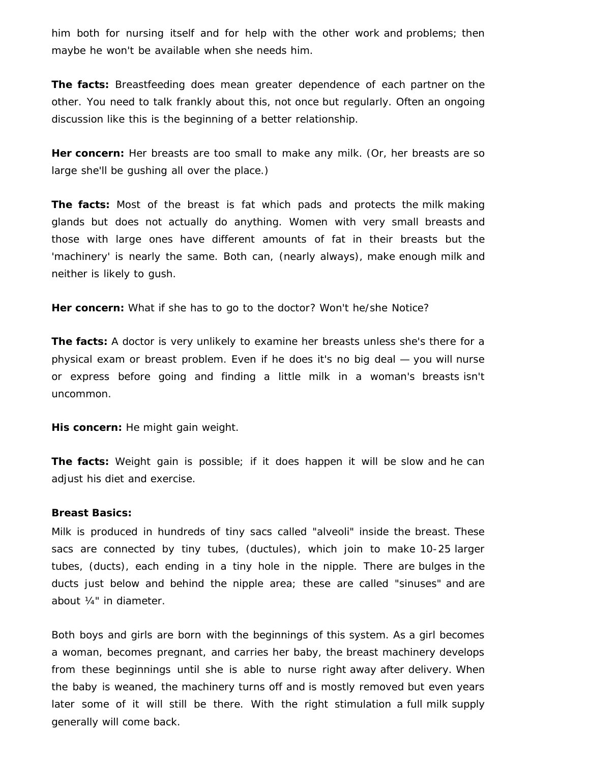him both for nursing itself and for help with the other work and problems; then maybe he won't be available when she needs him.

**The facts:** Breastfeeding does mean greater dependence of each partner on the other. You need to talk frankly about this, not once but regularly. Often an ongoing discussion like this is the beginning of a better relationship.

**Her concern:** Her breasts are too small to make any milk. (Or, her breasts are so large she'll be gushing all over the place.)

**The facts:** Most of the breast is fat which pads and protects the milk making glands but does not actually do anything. Women with very small breasts and those with large ones have different amounts of fat in their breasts but the 'machinery' is nearly the same. Both can, (nearly always), make enough milk and neither is likely to gush.

**Her concern:** What if she has to go to the doctor? Won't he/she Notice?

**The facts:** A doctor is very unlikely to examine her breasts unless she's there for a physical exam or breast problem. Even if he does it's no big deal — you will nurse or express before going and finding a little milk in a woman's breasts isn't uncommon.

**His concern:** He might gain weight.

**The facts:** Weight gain is possible; if it does happen it will be slow and he can adjust his diet and exercise.

#### **Breast Basics:**

Milk is produced in hundreds of tiny sacs called "alveoli" inside the breast. These sacs are connected by tiny tubes, (ductules), which join to make 10-25 larger tubes, (ducts), each ending in a tiny hole in the nipple. There are bulges in the ducts just below and behind the nipple area; these are called "sinuses" and are about ¼" in diameter.

Both boys and girls are born with the beginnings of this system. As a girl becomes a woman, becomes pregnant, and carries her baby, the breast machinery develops from these beginnings until she is able to nurse right away after delivery. When the baby is weaned, the machinery turns off and is mostly removed but even years later some of it will still be there. With the right stimulation a full milk supply generally will come back.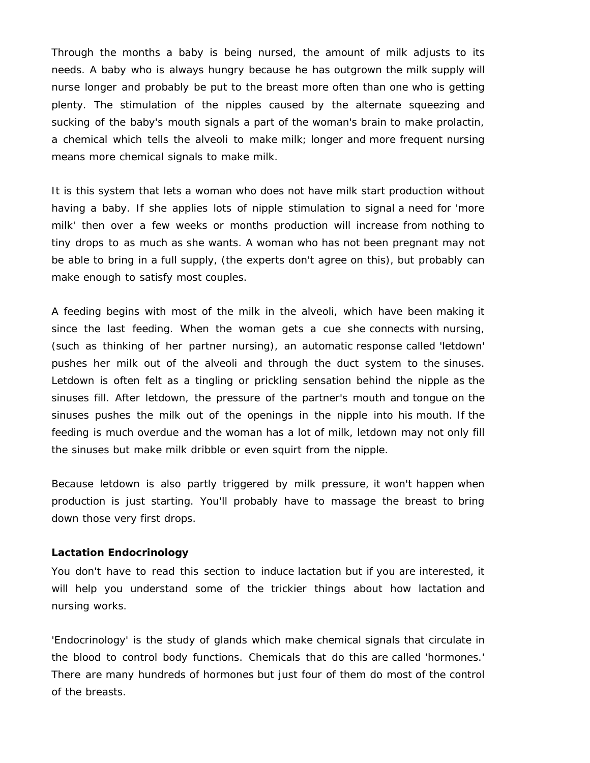Through the months a baby is being nursed, the amount of milk adjusts to its needs. A baby who is always hungry because he has outgrown the milk supply will nurse longer and probably be put to the breast more often than one who is getting plenty. The stimulation of the nipples caused by the alternate squeezing and sucking of the baby's mouth signals a part of the woman's brain to make prolactin, a chemical which tells the alveoli to make milk; longer and more frequent nursing means more chemical signals to make milk.

It is this system that lets a woman who does not have milk start production without having a baby. If she applies lots of nipple stimulation to signal a need for 'more milk' then over a few weeks or months production will increase from nothing to tiny drops to as much as she wants. A woman who has not been pregnant may not be able to bring in a full supply, (the experts don't agree on this), but probably can make enough to satisfy most couples.

A feeding begins with most of the milk in the alveoli, which have been making it since the last feeding. When the woman gets a cue she connects with nursing, (such as thinking of her partner nursing), an automatic response called 'letdown' pushes her milk out of the alveoli and through the duct system to the sinuses. Letdown is often felt as a tingling or prickling sensation behind the nipple as the sinuses fill. After letdown, the pressure of the partner's mouth and tongue on the sinuses pushes the milk out of the openings in the nipple into his mouth. If the feeding is much overdue and the woman has a lot of milk, letdown may not only fill the sinuses but make milk dribble or even squirt from the nipple.

Because letdown is also partly triggered by milk pressure, it won't happen when production is just starting. You'll probably have to massage the breast to bring down those very first drops.

### **Lactation Endocrinology**

You don't have to read this section to induce lactation but if you are interested, it will help you understand some of the trickier things about how lactation and nursing works.

'Endocrinology' is the study of glands which make chemical signals that circulate in the blood to control body functions. Chemicals that do this are called 'hormones.' There are many hundreds of hormones but just four of them do most of the control of the breasts.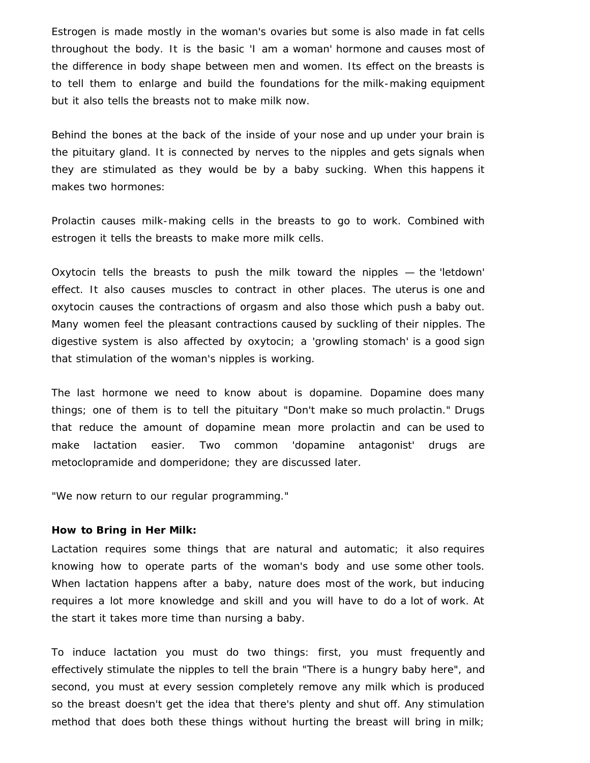Estrogen is made mostly in the woman's ovaries but some is also made in fat cells throughout the body. It is the basic 'I am a woman' hormone and causes most of the difference in body shape between men and women. Its effect on the breasts is to tell them to enlarge and build the foundations for the milk-making equipment but it also tells the breasts not to make milk now.

Behind the bones at the back of the inside of your nose and up under your brain is the pituitary gland. It is connected by nerves to the nipples and gets signals when they are stimulated as they would be by a baby sucking. When this happens it makes two hormones:

Prolactin causes milk-making cells in the breasts to go to work. Combined with estrogen it tells the breasts to make more milk cells.

Oxytocin tells the breasts to push the milk toward the nipples — the 'letdown' effect. It also causes muscles to contract in other places. The uterus is one and oxytocin causes the contractions of orgasm and also those which push a baby out. Many women feel the pleasant contractions caused by suckling of their nipples. The digestive system is also affected by oxytocin; a 'growling stomach' is a good sign that stimulation of the woman's nipples is working.

The last hormone we need to know about is dopamine. Dopamine does many things; one of them is to tell the pituitary "Don't make so much prolactin." Drugs that reduce the amount of dopamine mean more prolactin and can be used to make lactation easier. Two common 'dopamine antagonist' drugs are metoclopramide and domperidone; they are discussed later.

"We now return to our regular programming."

#### **How to Bring in Her Milk:**

Lactation requires some things that are natural and automatic; it also requires knowing how to operate parts of the woman's body and use some other tools. When lactation happens after a baby, nature does most of the work, but inducing requires a lot more knowledge and skill and you will have to do a lot of work. At the start it takes more time than nursing a baby.

To induce lactation you must do two things: first, you must frequently and effectively stimulate the nipples to tell the brain "There is a hungry baby here", and second, you must at every session completely remove any milk which is produced so the breast doesn't get the idea that there's plenty and shut off. Any stimulation method that does both these things without hurting the breast will bring in milk;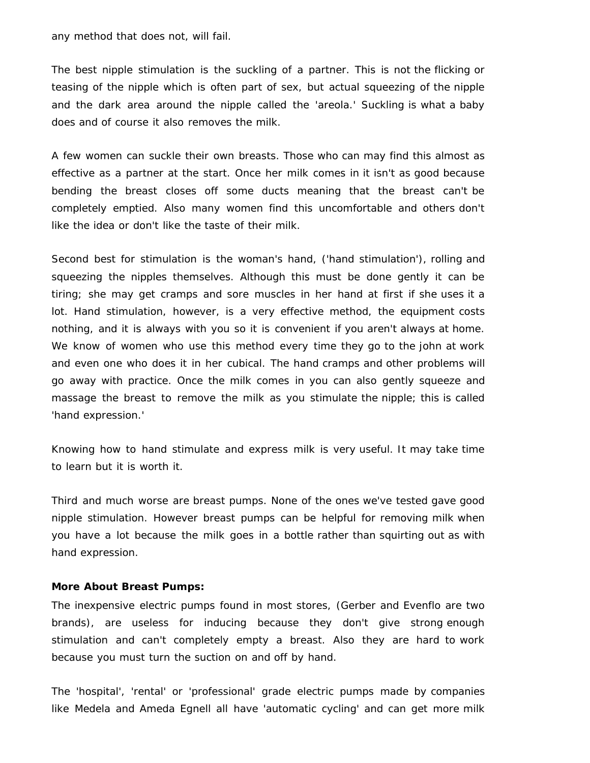any method that does not, will fail.

The best nipple stimulation is the suckling of a partner. This is not the flicking or teasing of the nipple which is often part of sex, but actual squeezing of the nipple and the dark area around the nipple called the 'areola.' Suckling is what a baby does and of course it also removes the milk.

A few women can suckle their own breasts. Those who can may find this almost as effective as a partner at the start. Once her milk comes in it isn't as good because bending the breast closes off some ducts meaning that the breast can't be completely emptied. Also many women find this uncomfortable and others don't like the idea or don't like the taste of their milk.

Second best for stimulation is the woman's hand, ('hand stimulation'), rolling and squeezing the nipples themselves. Although this must be done gently it can be tiring; she may get cramps and sore muscles in her hand at first if she uses it a lot. Hand stimulation, however, is a very effective method, the equipment costs nothing, and it is always with you so it is convenient if you aren't always at home. We know of women who use this method every time they go to the john at work and even one who does it in her cubical. The hand cramps and other problems will go away with practice. Once the milk comes in you can also gently squeeze and massage the breast to remove the milk as you stimulate the nipple; this is called 'hand expression.'

Knowing how to hand stimulate and express milk is very useful. It may take time to learn but it is worth it.

Third and much worse are breast pumps. None of the ones we've tested gave good nipple stimulation. However breast pumps can be helpful for removing milk when you have a lot because the milk goes in a bottle rather than squirting out as with hand expression.

### **More About Breast Pumps:**

The inexpensive electric pumps found in most stores, (Gerber and Evenflo are two brands), are useless for inducing because they don't give strong enough stimulation and can't completely empty a breast. Also they are hard to work because you must turn the suction on and off by hand.

The 'hospital', 'rental' or 'professional' grade electric pumps made by companies like Medela and Ameda Egnell all have 'automatic cycling' and can get more milk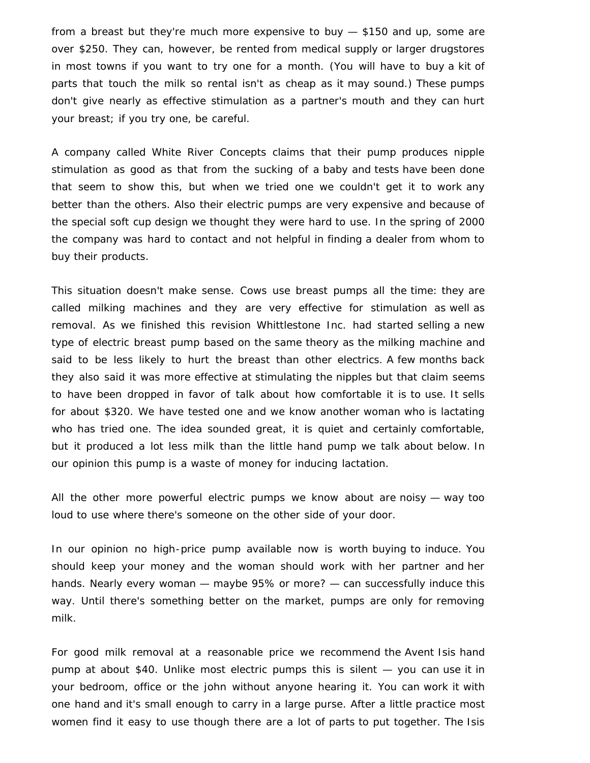from a breast but they're much more expensive to buy — \$150 and up, some are over \$250. They can, however, be rented from medical supply or larger drugstores in most towns if you want to try one for a month. (You will have to buy a kit of parts that touch the milk so rental isn't as cheap as it may sound.) These pumps don't give nearly as effective stimulation as a partner's mouth and they can hurt your breast; if you try one, be careful.

A company called White River Concepts claims that their pump produces nipple stimulation as good as that from the sucking of a baby and tests have been done that seem to show this, but when we tried one we couldn't get it to work any better than the others. Also their electric pumps are very expensive and because of the special soft cup design we thought they were hard to use. In the spring of 2000 the company was hard to contact and not helpful in finding a dealer from whom to buy their products.

This situation doesn't make sense. Cows use breast pumps all the time: they are called milking machines and they are very effective for stimulation as well as removal. As we finished this revision Whittlestone Inc. had started selling a new type of electric breast pump based on the same theory as the milking machine and said to be less likely to hurt the breast than other electrics. A few months back they also said it was more effective at stimulating the nipples but that claim seems to have been dropped in favor of talk about how comfortable it is to use. It sells for about \$320. We have tested one and we know another woman who is lactating who has tried one. The idea sounded great, it is quiet and certainly comfortable, but it produced a lot less milk than the little hand pump we talk about below. In our opinion this pump is a waste of money for inducing lactation.

All the other more powerful electric pumps we know about are noisy — way too loud to use where there's someone on the other side of your door.

In our opinion no high-price pump available now is worth buying to induce. You should keep your money and the woman should work with her partner and her hands. Nearly every woman — maybe 95% or more? — can successfully induce this way. Until there's something better on the market, pumps are only for removing milk.

For good milk removal at a reasonable price we recommend the Avent Isis hand pump at about \$40. Unlike most electric pumps this is silent — you can use it in your bedroom, office or the john without anyone hearing it. You can work it with one hand and it's small enough to carry in a large purse. After a little practice most women find it easy to use though there are a lot of parts to put together. The Isis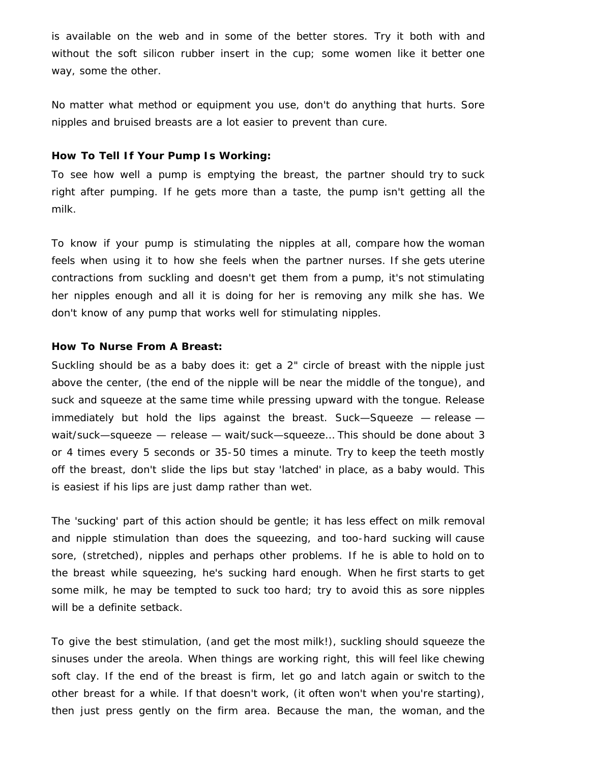is available on the web and in some of the better stores. Try it both with and without the soft silicon rubber insert in the cup; some women like it better one way, some the other.

No matter what method or equipment you use, don't do anything that hurts. Sore nipples and bruised breasts are a lot easier to prevent than cure.

#### **How To Tell If Your Pump Is Working:**

To see how well a pump is emptying the breast, the partner should try to suck right after pumping. If he gets more than a taste, the pump isn't getting all the milk.

To know if your pump is stimulating the nipples at all, compare how the woman feels when using it to how she feels when the partner nurses. If she gets uterine contractions from suckling and doesn't get them from a pump, it's not stimulating her nipples enough and all it is doing for her is removing any milk she has. We don't know of any pump that works well for stimulating nipples.

#### **How To Nurse From A Breast:**

Suckling should be as a baby does it: get a 2" circle of breast with the nipple just above the center, (the end of the nipple will be near the middle of the tongue), and suck and squeeze at the same time while pressing upward with the tongue. Release immediately but hold the lips against the breast. Suck—Squeeze — release wait/suck—squeeze — release — wait/suck—squeeze… This should be done about 3 or 4 times every 5 seconds or 35-50 times a minute. Try to keep the teeth mostly off the breast, don't slide the lips but stay 'latched' in place, as a baby would. This is easiest if his lips are just damp rather than wet.

The 'sucking' part of this action should be gentle; it has less effect on milk removal and nipple stimulation than does the squeezing, and too-hard sucking will cause sore, (stretched), nipples and perhaps other problems. If he is able to hold on to the breast while squeezing, he's sucking hard enough. When he first starts to get some milk, he may be tempted to suck too hard; try to avoid this as sore nipples will be a definite setback.

To give the best stimulation, (and get the most milk!), suckling should squeeze the sinuses under the areola. When things are working right, this will feel like chewing soft clay. If the end of the breast is firm, let go and latch again or switch to the other breast for a while. If that doesn't work, (it often won't when you're starting), then just press gently on the firm area. Because the man, the woman, and the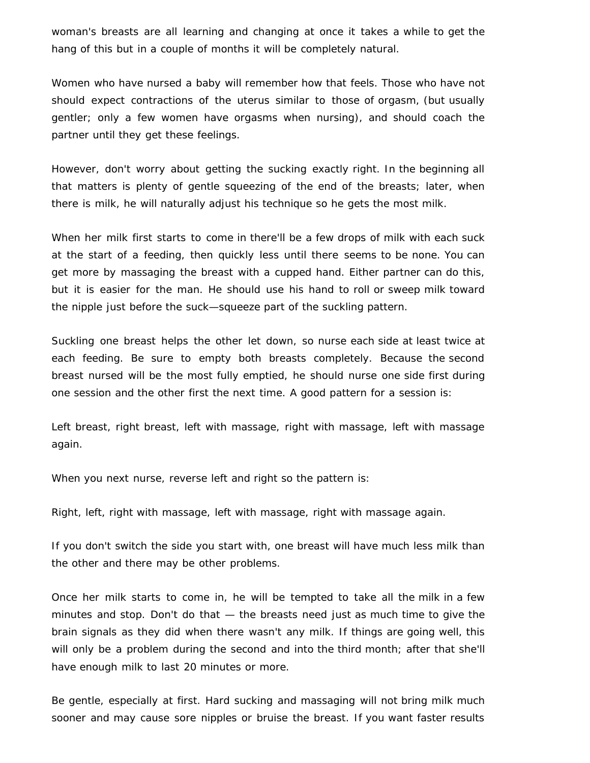woman's breasts are all learning and changing at once it takes a while to get the hang of this but in a couple of months it will be completely natural.

Women who have nursed a baby will remember how that feels. Those who have not should expect contractions of the uterus similar to those of orgasm, (but usually gentler; only a few women have orgasms when nursing), and should coach the partner until they get these feelings.

However, don't worry about getting the sucking exactly right. In the beginning all that matters is plenty of gentle squeezing of the end of the breasts; later, when there is milk, he will naturally adjust his technique so he gets the most milk.

When her milk first starts to come in there'll be a few drops of milk with each suck at the start of a feeding, then quickly less until there seems to be none. You can get more by massaging the breast with a cupped hand. Either partner can do this, but it is easier for the man. He should use his hand to roll or sweep milk toward the nipple just before the suck—squeeze part of the suckling pattern.

Suckling one breast helps the other let down, so nurse each side at least twice at each feeding. Be sure to empty both breasts completely. Because the second breast nursed will be the most fully emptied, he should nurse one side first during one session and the other first the next time. A good pattern for a session is:

Left breast, right breast, left with massage, right with massage, left with massage again.

When you next nurse, reverse left and right so the pattern is:

Right, left, right with massage, left with massage, right with massage again.

If you don't switch the side you start with, one breast will have much less milk than the other and there may be other problems.

Once her milk starts to come in, he will be tempted to take all the milk in a few minutes and stop. Don't do that — the breasts need just as much time to give the brain signals as they did when there wasn't any milk. If things are going well, this will only be a problem during the second and into the third month; after that she'll have enough milk to last 20 minutes or more.

Be gentle, especially at first. Hard sucking and massaging will not bring milk much sooner and may cause sore nipples or bruise the breast. If you want faster results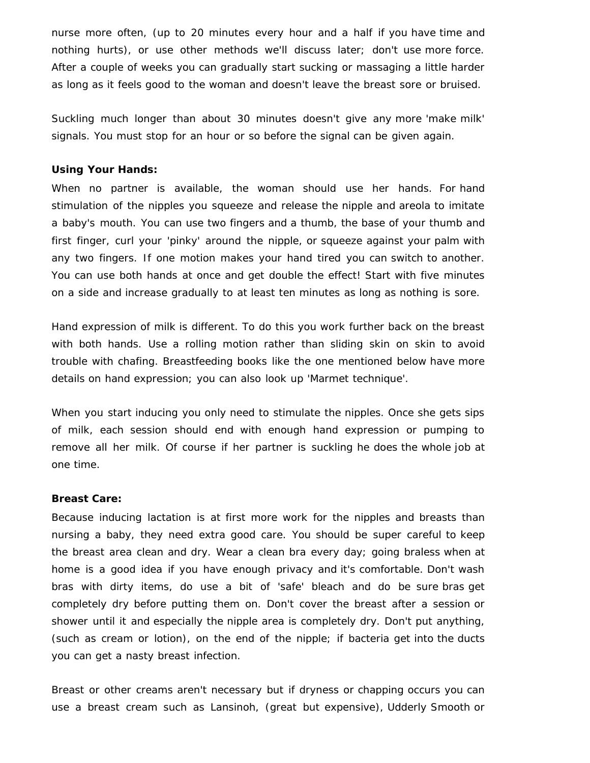nurse more often, (up to 20 minutes every hour and a half if you have time and nothing hurts), or use other methods we'll discuss later; don't use more force. After a couple of weeks you can gradually start sucking or massaging a little harder as long as it feels good to the woman and doesn't leave the breast sore or bruised.

Suckling much longer than about 30 minutes doesn't give any more 'make milk' signals. You must stop for an hour or so before the signal can be given again.

### **Using Your Hands:**

When no partner is available, the woman should use her hands. For hand stimulation of the nipples you squeeze and release the nipple and areola to imitate a baby's mouth. You can use two fingers and a thumb, the base of your thumb and first finger, curl your 'pinky' around the nipple, or squeeze against your palm with any two fingers. If one motion makes your hand tired you can switch to another. You can use both hands at once and get double the effect! Start with five minutes on a side and increase gradually to at least ten minutes as long as nothing is sore.

Hand expression of milk is different. To do this you work further back on the breast with both hands. Use a rolling motion rather than sliding skin on skin to avoid trouble with chafing. Breastfeeding books like the one mentioned below have more details on hand expression; you can also look up 'Marmet technique'.

When you start inducing you only need to stimulate the nipples. Once she gets sips of milk, each session should end with enough hand expression or pumping to remove all her milk. Of course if her partner is suckling he does the whole job at one time.

#### **Breast Care:**

Because inducing lactation is at first more work for the nipples and breasts than nursing a baby, they need extra good care. You should be super careful to keep the breast area clean and dry. Wear a clean bra every day; going braless when at home is a good idea if you have enough privacy and it's comfortable. Don't wash bras with dirty items, do use a bit of 'safe' bleach and do be sure bras get completely dry before putting them on. Don't cover the breast after a session or shower until it and especially the nipple area is completely dry. Don't put anything, (such as cream or lotion), on the end of the nipple; if bacteria get into the ducts you can get a nasty breast infection.

Breast or other creams aren't necessary but if dryness or chapping occurs you can use a breast cream such as Lansinoh, (great but expensive), Udderly Smooth or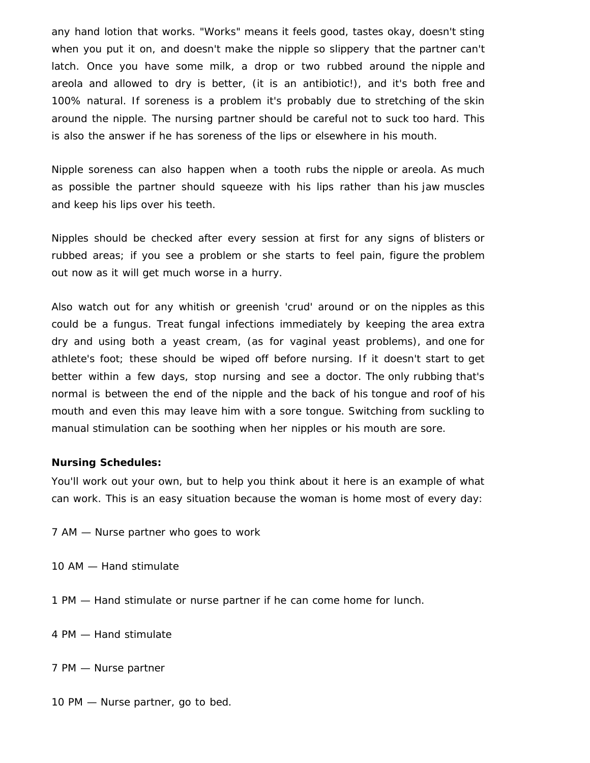any hand lotion that works. "Works" means it feels good, tastes okay, doesn't sting when you put it on, and doesn't make the nipple so slippery that the partner can't latch. Once you have some milk, a drop or two rubbed around the nipple and areola and allowed to dry is better, (it is an antibiotic!), and it's both free and 100% natural. If soreness is a problem it's probably due to stretching of the skin around the nipple. The nursing partner should be careful not to suck too hard. This is also the answer if he has soreness of the lips or elsewhere in his mouth.

Nipple soreness can also happen when a tooth rubs the nipple or areola. As much as possible the partner should squeeze with his lips rather than his jaw muscles and keep his lips over his teeth.

Nipples should be checked after every session at first for any signs of blisters or rubbed areas; if you see a problem or she starts to feel pain, figure the problem out now as it will get much worse in a hurry.

Also watch out for any whitish or greenish 'crud' around or on the nipples as this could be a fungus. Treat fungal infections immediately by keeping the area extra dry and using both a yeast cream, (as for vaginal yeast problems), and one for athlete's foot; these should be wiped off before nursing. If it doesn't start to get better within a few days, stop nursing and see a doctor. The only rubbing that's normal is between the end of the nipple and the back of his tongue and roof of his mouth and even this may leave him with a sore tongue. Switching from suckling to manual stimulation can be soothing when her nipples or his mouth are sore.

#### **Nursing Schedules:**

You'll work out your own, but to help you think about it here is an example of what can work. This is an easy situation because the woman is home most of every day:

- 7 AM Nurse partner who goes to work
- 10 AM Hand stimulate
- 1 PM Hand stimulate or nurse partner if he can come home for lunch.
- 4 PM Hand stimulate
- 7 PM Nurse partner
- 10 PM Nurse partner, go to bed.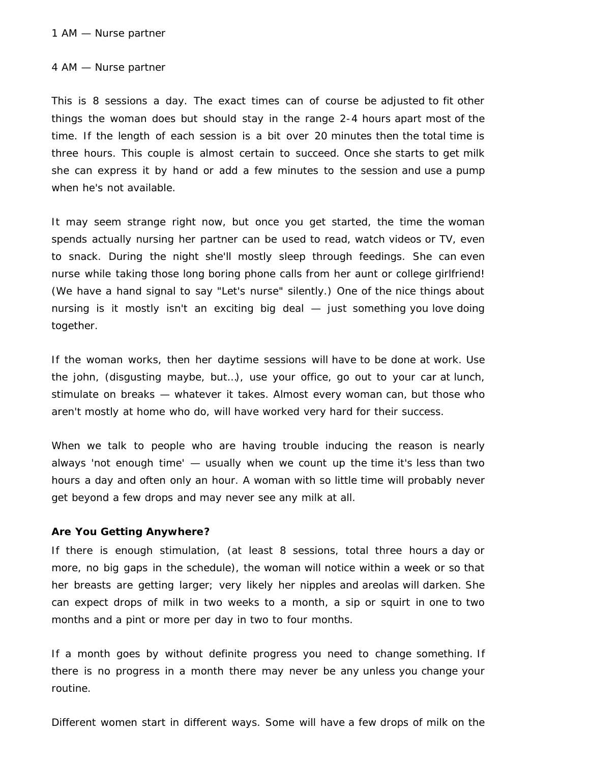#### 1 AM — Nurse partner

#### 4 AM — Nurse partner

This is 8 sessions a day. The exact times can of course be adjusted to fit other things the woman does but should stay in the range 2-4 hours apart most of the time. If the length of each session is a bit over 20 minutes then the total time is three hours. This couple is almost certain to succeed. Once she starts to get milk she can express it by hand or add a few minutes to the session and use a pump when he's not available.

It may seem strange right now, but once you get started, the time the woman spends actually nursing her partner can be used to read, watch videos or TV, even to snack. During the night she'll mostly sleep through feedings. She can even nurse while taking those long boring phone calls from her aunt or college girlfriend! (We have a hand signal to say "Let's nurse" silently.) One of the nice things about nursing is it mostly isn't an exciting big deal — just something you love doing together.

If the woman works, then her daytime sessions will have to be done at work. Use the john, (disgusting maybe, but…), use your office, go out to your car at lunch, stimulate on breaks — whatever it takes. Almost every woman can, but those who aren't mostly at home who do, will have worked very hard for their success.

When we talk to people who are having trouble inducing the reason is nearly always 'not enough time' — usually when we count up the time it's less than two hours a day and often only an hour. A woman with so little time will probably never get beyond a few drops and may never see any milk at all.

#### **Are You Getting Anywhere?**

If there is enough stimulation, (at least 8 sessions, total three hours a day or more, no big gaps in the schedule), the woman will notice within a week or so that her breasts are getting larger; very likely her nipples and areolas will darken. She can expect drops of milk in two weeks to a month, a sip or squirt in one to two months and a pint or more per day in two to four months.

If a month goes by without definite progress you need to change something. If there is no progress in a month there may never be any unless you change your routine.

Different women start in different ways. Some will have a few drops of milk on the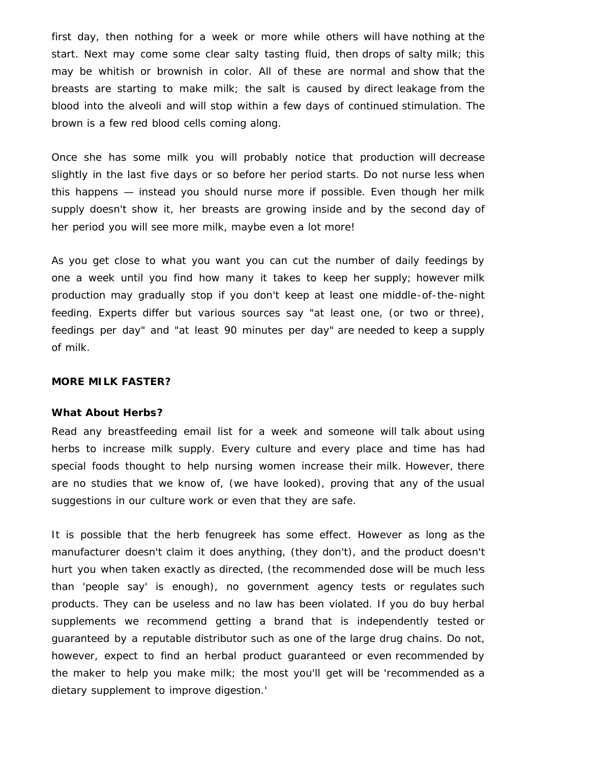first day, then nothing for a week or more while others will have nothing at the start. Next may come some clear salty tasting fluid, then drops of salty milk; this may be whitish or brownish in color. All of these are normal and show that the breasts are starting to make milk; the salt is caused by direct leakage from the blood into the alveoli and will stop within a few days of continued stimulation. The brown is a few red blood cells coming along.

Once she has some milk you will probably notice that production will decrease slightly in the last five days or so before her period starts. Do not nurse less when this happens — instead you should nurse more if possible. Even though her milk supply doesn't show it, her breasts are growing inside and by the second day of her period you will see more milk, maybe even a lot more!

As you get close to what you want you can cut the number of daily feedings by one a week until you find how many it takes to keep her supply; however milk production may gradually stop if you don't keep at least one middle-of-the-night feeding. Experts differ but various sources say "at least one, (or two or three), feedings per day" and "at least 90 minutes per day" are needed to keep a supply of milk.

#### **MORE MILK FASTER?**

#### **What About Herbs?**

Read any breastfeeding email list for a week and someone will talk about using herbs to increase milk supply. Every culture and every place and time has had special foods thought to help nursing women increase their milk. However, there are no studies that we know of, (we have looked), proving that any of the usual suggestions in our culture work or even that they are safe.

It is possible that the herb fenugreek has some effect. However as long as the manufacturer doesn't claim it does anything, (they don't), and the product doesn't hurt you when taken exactly as directed, (the recommended dose will be much less than 'people say' is enough), no government agency tests or regulates such products. They can be useless and no law has been violated. If you do buy herbal supplements we recommend getting a brand that is independently tested or guaranteed by a reputable distributor such as one of the large drug chains. Do not, however, expect to find an herbal product guaranteed or even recommended by the maker to help you make milk; the most you'll get will be 'recommended as a dietary supplement to improve digestion.'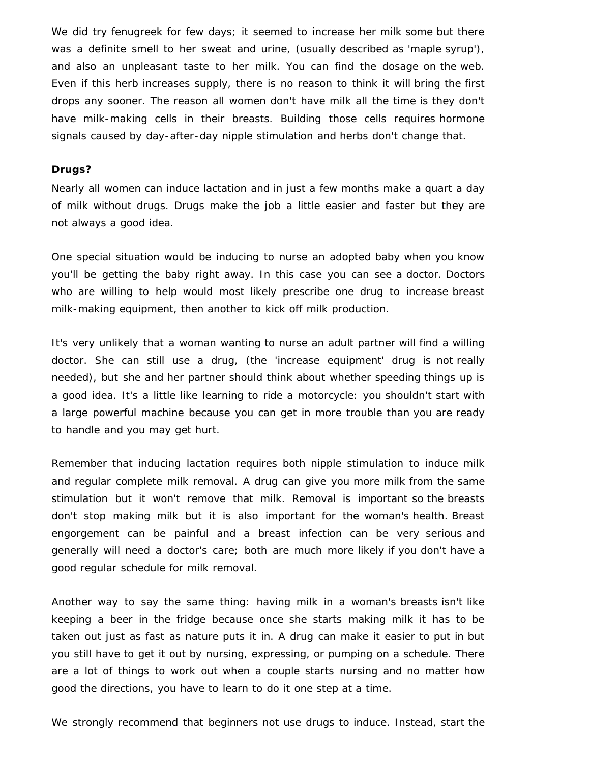We did try fenugreek for few days; it seemed to increase her milk some but there was a definite smell to her sweat and urine, (usually described as 'maple syrup'), and also an unpleasant taste to her milk. You can find the dosage on the web. Even if this herb increases supply, there is no reason to think it will bring the first drops any sooner. The reason all women don't have milk all the time is they don't have milk-making cells in their breasts. Building those cells requires hormone signals caused by day-after-day nipple stimulation and herbs don't change that.

### **Drugs?**

Nearly all women can induce lactation and in just a few months make a quart a day of milk without drugs. Drugs make the job a little easier and faster but they are not always a good idea.

One special situation would be inducing to nurse an adopted baby when you know you'll be getting the baby right away. In this case you can see a doctor. Doctors who are willing to help would most likely prescribe one drug to increase breast milk-making equipment, then another to kick off milk production.

It's very unlikely that a woman wanting to nurse an adult partner will find a willing doctor. She can still use a drug, (the 'increase equipment' drug is not really needed), but she and her partner should think about whether speeding things up is a good idea. It's a little like learning to ride a motorcycle: you shouldn't start with a large powerful machine because you can get in more trouble than you are ready to handle and you may get hurt.

Remember that inducing lactation requires both nipple stimulation to induce milk and regular complete milk removal. A drug can give you more milk from the same stimulation but it won't remove that milk. Removal is important so the breasts don't stop making milk but it is also important for the woman's health. Breast engorgement can be painful and a breast infection can be very serious and generally will need a doctor's care; both are much more likely if you don't have a good regular schedule for milk removal.

Another way to say the same thing: having milk in a woman's breasts isn't like keeping a beer in the fridge because once she starts making milk it has to be taken out just as fast as nature puts it in. A drug can make it easier to put in but you still have to get it out by nursing, expressing, or pumping on a schedule. There are a lot of things to work out when a couple starts nursing and no matter how good the directions, you have to learn to do it one step at a time.

We strongly recommend that beginners not use drugs to induce. Instead, start the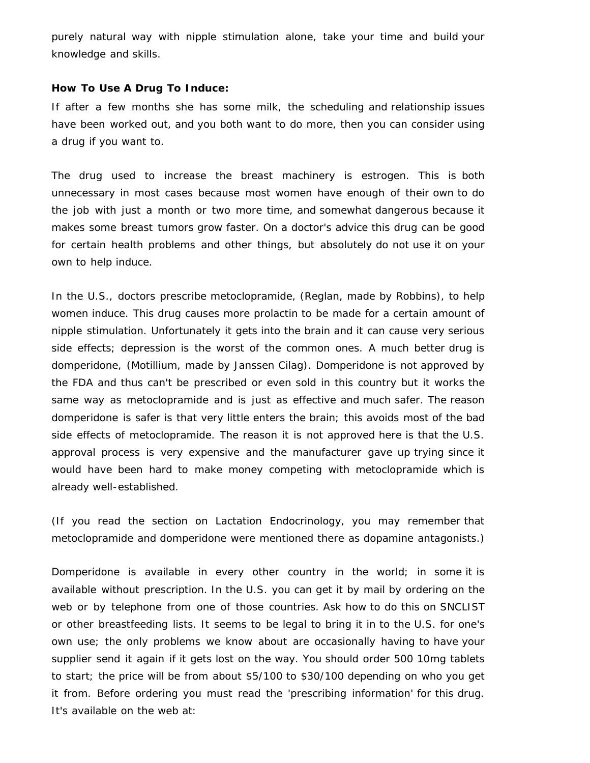purely natural way with nipple stimulation alone, take your time and build your knowledge and skills.

### **How To Use A Drug To Induce:**

If after a few months she has some milk, the scheduling and relationship issues have been worked out, and you both want to do more, then you can consider using a drug if you want to.

The drug used to increase the breast machinery is estrogen. This is both unnecessary in most cases because most women have enough of their own to do the job with just a month or two more time, and somewhat dangerous because it makes some breast tumors grow faster. On a doctor's advice this drug can be good for certain health problems and other things, but absolutely do not use it on your own to help induce.

In the U.S., doctors prescribe metoclopramide, (Reglan, made by Robbins), to help women induce. This drug causes more prolactin to be made for a certain amount of nipple stimulation. Unfortunately it gets into the brain and it can cause very serious side effects; depression is the worst of the common ones. A much better drug is domperidone, (Motillium, made by Janssen Cilag). Domperidone is not approved by the FDA and thus can't be prescribed or even sold in this country but it works the same way as metoclopramide and is just as effective and much safer. The reason domperidone is safer is that very little enters the brain; this avoids most of the bad side effects of metoclopramide. The reason it is not approved here is that the U.S. approval process is very expensive and the manufacturer gave up trying since it would have been hard to make money competing with metoclopramide which is already well-established.

(If you read the section on Lactation Endocrinology, you may remember that metoclopramide and domperidone were mentioned there as dopamine antagonists.)

Domperidone is available in every other country in the world; in some it is available without prescription. In the U.S. you can get it by mail by ordering on the web or by telephone from one of those countries. Ask how to do this on SNCLIST or other breastfeeding lists. It seems to be legal to bring it in to the U.S. for one's own use; the only problems we know about are occasionally having to have your supplier send it again if it gets lost on the way. You should order 500 10mg tablets to start; the price will be from about \$5/100 to \$30/100 depending on who you get it from. Before ordering you must read the 'prescribing information' for this drug. It's available on the web at: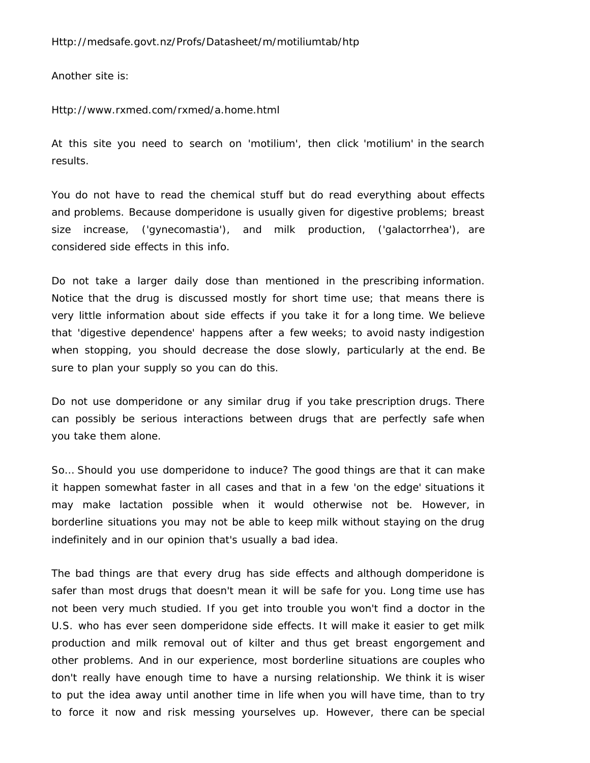Another site is:

Http://www.rxmed.com/rxmed/a.home.html

At this site you need to search on 'motilium', then click 'motilium' in the search results.

You do not have to read the chemical stuff but do read everything about effects and problems. Because domperidone is usually given for digestive problems; breast size increase, ('gynecomastia'), and milk production, ('galactorrhea'), are considered side effects in this info.

Do not take a larger daily dose than mentioned in the prescribing information. Notice that the drug is discussed mostly for short time use; that means there is very little information about side effects if you take it for a long time. We believe that 'digestive dependence' happens after a few weeks; to avoid nasty indigestion when stopping, you should decrease the dose slowly, particularly at the end. Be sure to plan your supply so you can do this.

Do not use domperidone or any similar drug if you take prescription drugs. There can possibly be serious interactions between drugs that are perfectly safe when you take them alone.

So… Should you use domperidone to induce? The good things are that it can make it happen somewhat faster in all cases and that in a few 'on the edge' situations it may make lactation possible when it would otherwise not be. However, in borderline situations you may not be able to keep milk without staying on the drug indefinitely and in our opinion that's usually a bad idea.

The bad things are that every drug has side effects and although domperidone is safer than most drugs that doesn't mean it will be safe for you. Long time use has not been very much studied. If you get into trouble you won't find a doctor in the U.S. who has ever seen domperidone side effects. It will make it easier to get milk production and milk removal out of kilter and thus get breast engorgement and other problems. And in our experience, most borderline situations are couples who don't really have enough time to have a nursing relationship. We think it is wiser to put the idea away until another time in life when you will have time, than to try to force it now and risk messing yourselves up. However, there can be special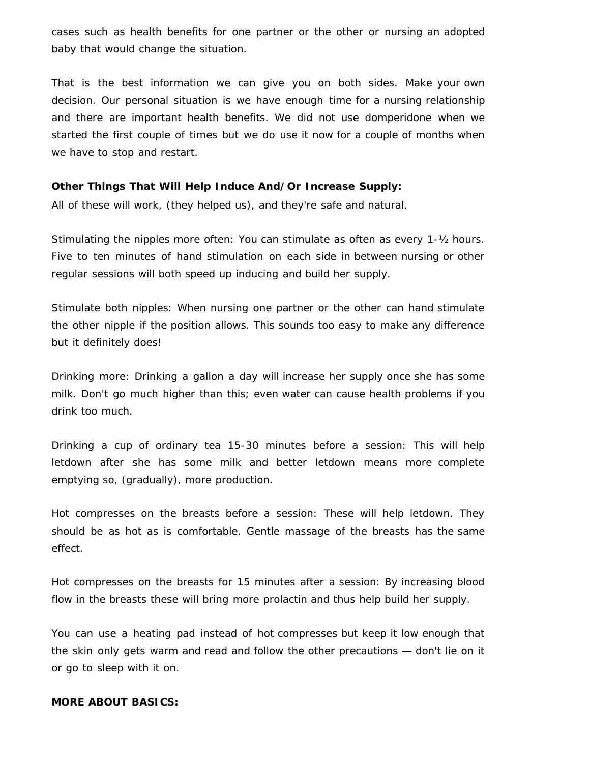cases such as health benefits for one partner or the other or nursing an adopted baby that would change the situation.

That is the best information we can give you on both sides. Make your own decision. Our personal situation is we have enough time for a nursing relationship and there are important health benefits. We did not use domperidone when we started the first couple of times but we do use it now for a couple of months when we have to stop and restart.

### **Other Things That Will Help Induce And/Or Increase Supply:**

All of these will work, (they helped us), and they're safe and natural.

Stimulating the nipples more often: You can stimulate as often as every 1-½ hours. Five to ten minutes of hand stimulation on each side in between nursing or other regular sessions will both speed up inducing and build her supply.

Stimulate both nipples: When nursing one partner or the other can hand stimulate the other nipple if the position allows. This sounds too easy to make any difference but it definitely does!

Drinking more: Drinking a gallon a day will increase her supply once she has some milk. Don't go much higher than this; even water can cause health problems if you drink too much.

Drinking a cup of ordinary tea 15-30 minutes before a session: This will help letdown after she has some milk and better letdown means more complete emptying so, (gradually), more production.

Hot compresses on the breasts before a session: These will help letdown. They should be as hot as is comfortable. Gentle massage of the breasts has the same effect.

Hot compresses on the breasts for 15 minutes after a session: By increasing blood flow in the breasts these will bring more prolactin and thus help build her supply.

You can use a heating pad instead of hot compresses but keep it low enough that the skin only gets warm and read and follow the other precautions — don't lie on it or go to sleep with it on.

### **MORE ABOUT BASICS:**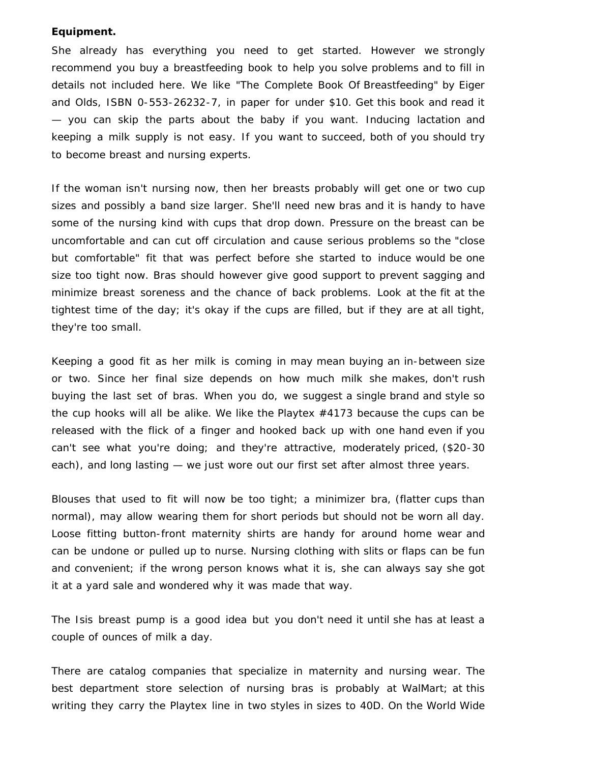#### **Equipment.**

She already has everything you need to get started. However we strongly recommend you buy a breastfeeding book to help you solve problems and to fill in details not included here. We like "The Complete Book Of Breastfeeding" by Eiger and Olds, ISBN 0-553-26232-7, in paper for under \$10. Get this book and read it — you can skip the parts about the baby if you want. Inducing lactation and keeping a milk supply is not easy. If you want to succeed, both of you should try to become breast and nursing experts.

If the woman isn't nursing now, then her breasts probably will get one or two cup sizes and possibly a band size larger. She'll need new bras and it is handy to have some of the nursing kind with cups that drop down. Pressure on the breast can be uncomfortable and can cut off circulation and cause serious problems so the "close but comfortable" fit that was perfect before she started to induce would be one size too tight now. Bras should however give good support to prevent sagging and minimize breast soreness and the chance of back problems. Look at the fit at the tightest time of the day; it's okay if the cups are filled, but if they are at all tight, they're too small.

Keeping a good fit as her milk is coming in may mean buying an in-between size or two. Since her final size depends on how much milk she makes, don't rush buying the last set of bras. When you do, we suggest a single brand and style so the cup hooks will all be alike. We like the Playtex #4173 because the cups can be released with the flick of a finger and hooked back up with one hand even if you can't see what you're doing; and they're attractive, moderately priced, (\$20-30 each), and long lasting — we just wore out our first set after almost three years.

Blouses that used to fit will now be too tight; a minimizer bra, (flatter cups than normal), may allow wearing them for short periods but should not be worn all day. Loose fitting button-front maternity shirts are handy for around home wear and can be undone or pulled up to nurse. Nursing clothing with slits or flaps can be fun and convenient; if the wrong person knows what it is, she can always say she got it at a yard sale and wondered why it was made that way.

The Isis breast pump is a good idea but you don't need it until she has at least a couple of ounces of milk a day.

There are catalog companies that specialize in maternity and nursing wear. The best department store selection of nursing bras is probably at WalMart; at this writing they carry the Playtex line in two styles in sizes to 40D. On the World Wide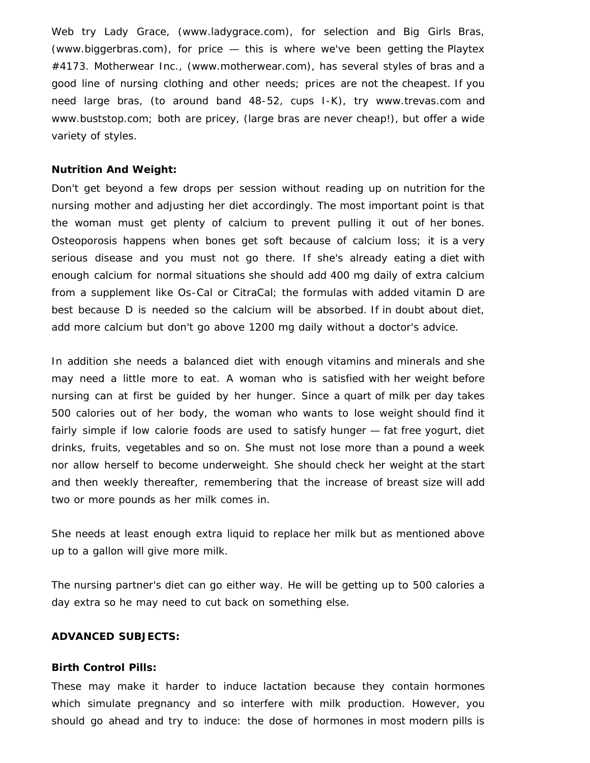Web try Lady Grace, (www.ladygrace.com), for selection and Big Girls Bras, (www.biggerbras.com), for price — this is where we've been getting the Playtex #4173. Motherwear Inc., (www.motherwear.com), has several styles of bras and a good line of nursing clothing and other needs; prices are not the cheapest. If you need large bras, (to around band 48-52, cups I-K), try www.trevas.com and www.buststop.com; both are pricey, (large bras are never cheap!), but offer a wide variety of styles.

#### **Nutrition And Weight:**

Don't get beyond a few drops per session without reading up on nutrition for the nursing mother and adjusting her diet accordingly. The most important point is that the woman must get plenty of calcium to prevent pulling it out of her bones. Osteoporosis happens when bones get soft because of calcium loss; it is a very serious disease and you must not go there. If she's already eating a diet with enough calcium for normal situations she should add 400 mg daily of extra calcium from a supplement like Os-Cal or CitraCal; the formulas with added vitamin D are best because D is needed so the calcium will be absorbed. If in doubt about diet, add more calcium but don't go above 1200 mg daily without a doctor's advice.

In addition she needs a balanced diet with enough vitamins and minerals and she may need a little more to eat. A woman who is satisfied with her weight before nursing can at first be guided by her hunger. Since a quart of milk per day takes 500 calories out of her body, the woman who wants to lose weight should find it fairly simple if low calorie foods are used to satisfy hunger — fat free yogurt, diet drinks, fruits, vegetables and so on. She must not lose more than a pound a week nor allow herself to become underweight. She should check her weight at the start and then weekly thereafter, remembering that the increase of breast size will add two or more pounds as her milk comes in.

She needs at least enough extra liquid to replace her milk but as mentioned above up to a gallon will give more milk.

The nursing partner's diet can go either way. He will be getting up to 500 calories a day extra so he may need to cut back on something else.

### **ADVANCED SUBJECTS:**

#### **Birth Control Pills:**

These may make it harder to induce lactation because they contain hormones which simulate pregnancy and so interfere with milk production. However, you should go ahead and try to induce: the dose of hormones in most modern pills is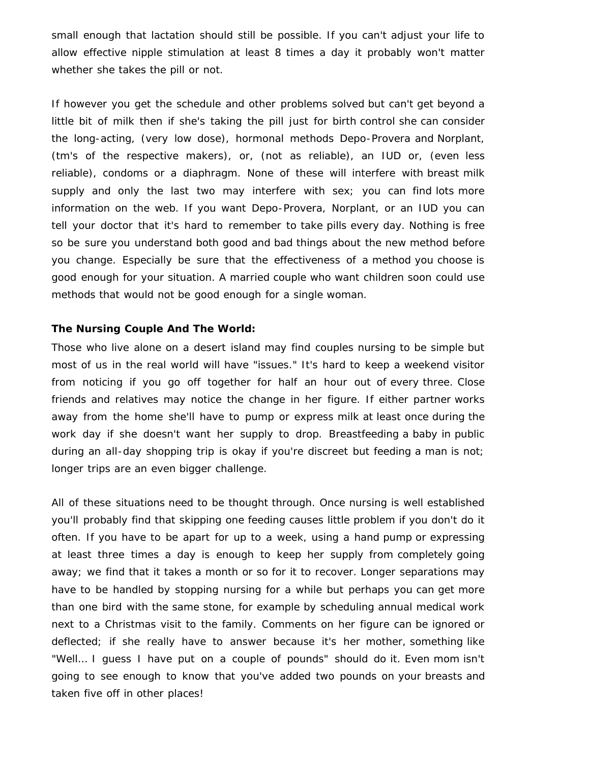small enough that lactation should still be possible. If you can't adjust your life to allow effective nipple stimulation at least 8 times a day it probably won't matter whether she takes the pill or not.

If however you get the schedule and other problems solved but can't get beyond a little bit of milk then if she's taking the pill just for birth control she can consider the long-acting, (very low dose), hormonal methods Depo-Provera and Norplant, (tm's of the respective makers), or, (not as reliable), an IUD or, (even less reliable), condoms or a diaphragm. None of these will interfere with breast milk supply and only the last two may interfere with sex; you can find lots more information on the web. If you want Depo-Provera, Norplant, or an IUD you can tell your doctor that it's hard to remember to take pills every day. Nothing is free so be sure you understand both good and bad things about the new method before you change. Especially be sure that the effectiveness of a method you choose is good enough for your situation. A married couple who want children soon could use methods that would not be good enough for a single woman.

### **The Nursing Couple And The World:**

Those who live alone on a desert island may find couples nursing to be simple but most of us in the real world will have "issues." It's hard to keep a weekend visitor from noticing if you go off together for half an hour out of every three. Close friends and relatives may notice the change in her figure. If either partner works away from the home she'll have to pump or express milk at least once during the work day if she doesn't want her supply to drop. Breastfeeding a baby in public during an all-day shopping trip is okay if you're discreet but feeding a man is not; longer trips are an even bigger challenge.

All of these situations need to be thought through. Once nursing is well established you'll probably find that skipping one feeding causes little problem if you don't do it often. If you have to be apart for up to a week, using a hand pump or expressing at least three times a day is enough to keep her supply from completely going away; we find that it takes a month or so for it to recover. Longer separations may have to be handled by stopping nursing for a while but perhaps you can get more than one bird with the same stone, for example by scheduling annual medical work next to a Christmas visit to the family. Comments on her figure can be ignored or deflected; if she really have to answer because it's her mother, something like "Well… I guess I have put on a couple of pounds" should do it. Even mom isn't going to see enough to know that you've added two pounds on your breasts and taken five off in other places!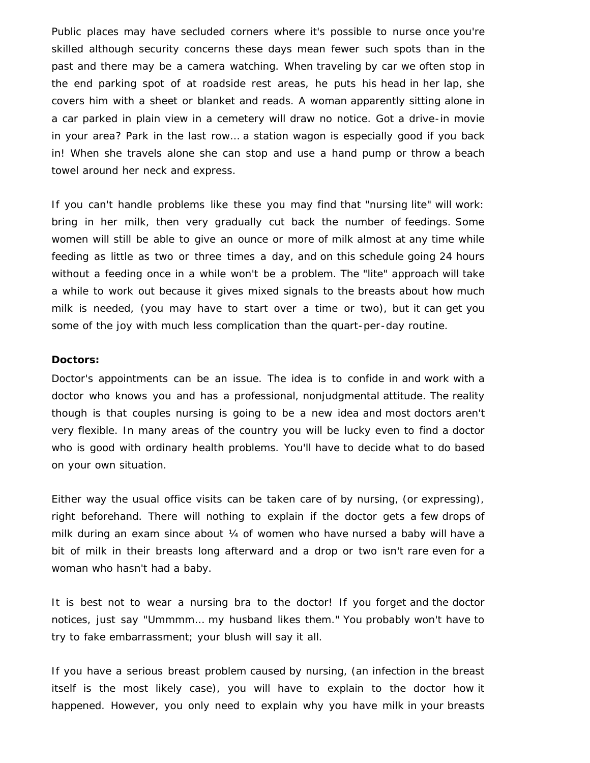Public places may have secluded corners where it's possible to nurse once you're skilled although security concerns these days mean fewer such spots than in the past and there may be a camera watching. When traveling by car we often stop in the end parking spot of at roadside rest areas, he puts his head in her lap, she covers him with a sheet or blanket and reads. A woman apparently sitting alone in a car parked in plain view in a cemetery will draw no notice. Got a drive-in movie in your area? Park in the last row… a station wagon is especially good if you back in! When she travels alone she can stop and use a hand pump or throw a beach towel around her neck and express.

If you can't handle problems like these you may find that "nursing lite" will work: bring in her milk, then very gradually cut back the number of feedings. Some women will still be able to give an ounce or more of milk almost at any time while feeding as little as two or three times a day, and on this schedule going 24 hours without a feeding once in a while won't be a problem. The "lite" approach will take a while to work out because it gives mixed signals to the breasts about how much milk is needed, (you may have to start over a time or two), but it can get you some of the joy with much less complication than the quart-per-day routine.

# **Doctors:**

Doctor's appointments can be an issue. The idea is to confide in and work with a doctor who knows you and has a professional, nonjudgmental attitude. The reality though is that couples nursing is going to be a new idea and most doctors aren't very flexible. In many areas of the country you will be lucky even to find a doctor who is good with ordinary health problems. You'll have to decide what to do based on your own situation.

Either way the usual office visits can be taken care of by nursing, (or expressing), right beforehand. There will nothing to explain if the doctor gets a few drops of milk during an exam since about ¼ of women who have nursed a baby will have a bit of milk in their breasts long afterward and a drop or two isn't rare even for a woman who hasn't had a baby.

It is best not to wear a nursing bra to the doctor! If you forget and the doctor notices, just say "Ummmm… my husband likes them." You probably won't have to try to fake embarrassment; your blush will say it all.

If you have a serious breast problem caused by nursing, (an infection in the breast itself is the most likely case), you will have to explain to the doctor how it happened. However, you only need to explain why you have milk in your breasts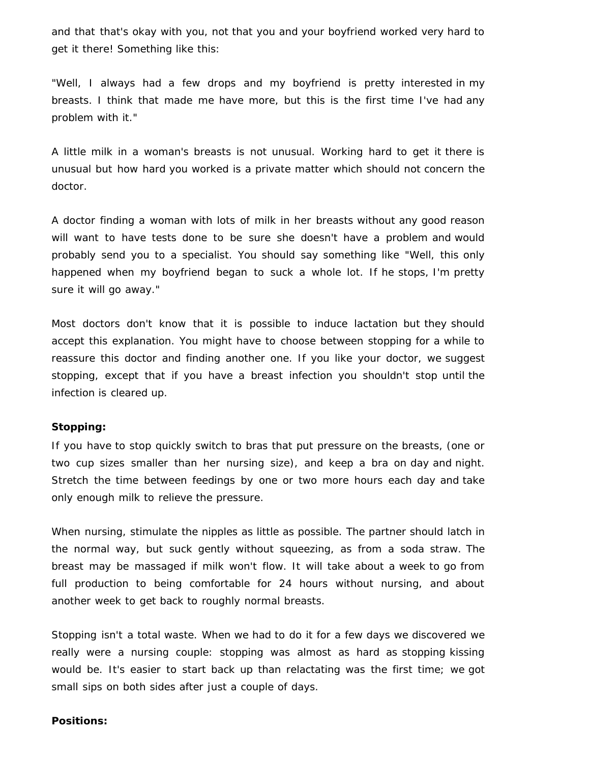and that that's okay with you, not that you and your boyfriend worked very hard to get it there! Something like this:

"Well, I always had a few drops and my boyfriend is pretty interested in my breasts. I think that made me have more, but this is the first time I've had any problem with it."

A little milk in a woman's breasts is not unusual. Working hard to get it there is unusual but how hard you worked is a private matter which should not concern the doctor.

A doctor finding a woman with lots of milk in her breasts without any good reason will want to have tests done to be sure she doesn't have a problem and would probably send you to a specialist. You should say something like "Well, this only happened when my boyfriend began to suck a whole lot. If he stops, I'm pretty sure it will go away."

Most doctors don't know that it is possible to induce lactation but they should accept this explanation. You might have to choose between stopping for a while to reassure this doctor and finding another one. If you like your doctor, we suggest stopping, except that if you have a breast infection you shouldn't stop until the infection is cleared up.

#### **Stopping:**

If you have to stop quickly switch to bras that put pressure on the breasts, (one or two cup sizes smaller than her nursing size), and keep a bra on day and night. Stretch the time between feedings by one or two more hours each day and take only enough milk to relieve the pressure.

When nursing, stimulate the nipples as little as possible. The partner should latch in the normal way, but suck gently without squeezing, as from a soda straw. The breast may be massaged if milk won't flow. It will take about a week to go from full production to being comfortable for 24 hours without nursing, and about another week to get back to roughly normal breasts.

Stopping isn't a total waste. When we had to do it for a few days we discovered we really were a nursing couple: stopping was almost as hard as stopping kissing would be. It's easier to start back up than relactating was the first time; we got small sips on both sides after just a couple of days.

#### **Positions:**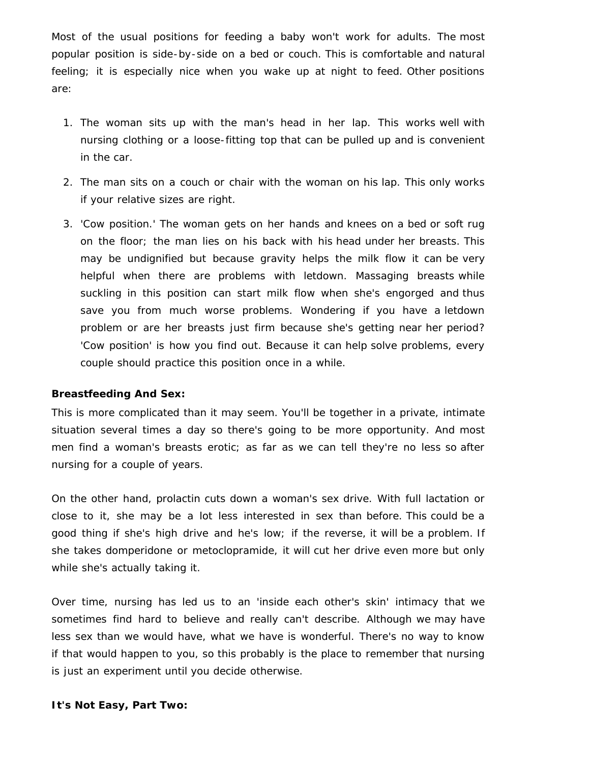Most of the usual positions for feeding a baby won't work for adults. The most popular position is side-by-side on a bed or couch. This is comfortable and natural feeling; it is especially nice when you wake up at night to feed. Other positions are:

- 1. The woman sits up with the man's head in her lap. This works well with nursing clothing or a loose-fitting top that can be pulled up and is convenient in the car.
- 2. The man sits on a couch or chair with the woman on his lap. This only works if your relative sizes are right.
- 3. 'Cow position.' The woman gets on her hands and knees on a bed or soft rug on the floor; the man lies on his back with his head under her breasts. This may be undignified but because gravity helps the milk flow it can be very helpful when there are problems with letdown. Massaging breasts while suckling in this position can start milk flow when she's engorged and thus save you from much worse problems. Wondering if you have a letdown problem or are her breasts just firm because she's getting near her period? 'Cow position' is how you find out. Because it can help solve problems, every couple should practice this position once in a while.

# **Breastfeeding And Sex:**

This is more complicated than it may seem. You'll be together in a private, intimate situation several times a day so there's going to be more opportunity. And most men find a woman's breasts erotic; as far as we can tell they're no less so after nursing for a couple of years.

On the other hand, prolactin cuts down a woman's sex drive. With full lactation or close to it, she may be a lot less interested in sex than before. This could be a good thing if she's high drive and he's low; if the reverse, it will be a problem. If she takes domperidone or metoclopramide, it will cut her drive even more but only while she's actually taking it.

Over time, nursing has led us to an 'inside each other's skin' intimacy that we sometimes find hard to believe and really can't describe. Although we may have less sex than we would have, what we have is wonderful. There's no way to know if that would happen to you, so this probably is the place to remember that nursing is just an experiment until you decide otherwise.

### **It's Not Easy, Part Two:**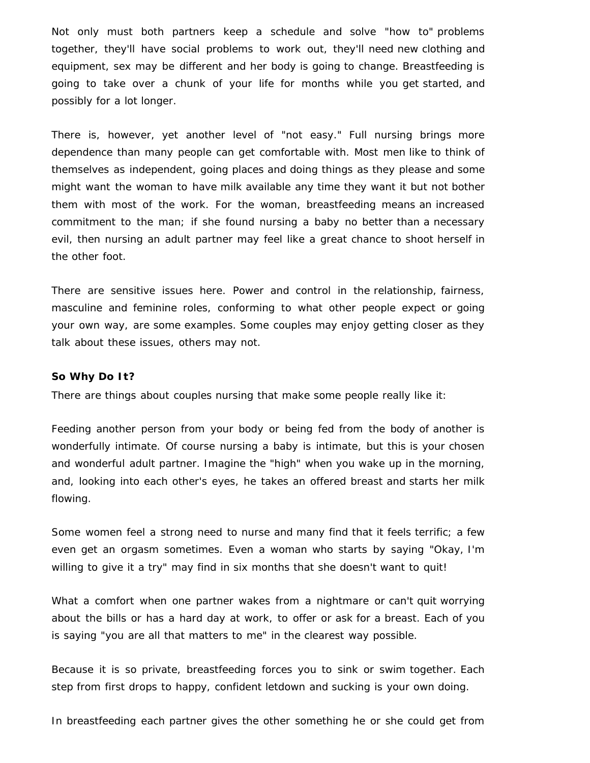Not only must both partners keep a schedule and solve "how to" problems together, they'll have social problems to work out, they'll need new clothing and equipment, sex may be different and her body is going to change. Breastfeeding is going to take over a chunk of your life for months while you get started, and possibly for a lot longer.

There is, however, yet another level of "not easy." Full nursing brings more dependence than many people can get comfortable with. Most men like to think of themselves as independent, going places and doing things as they please and some might want the woman to have milk available any time they want it but not bother them with most of the work. For the woman, breastfeeding means an increased commitment to the man; if she found nursing a baby no better than a necessary evil, then nursing an adult partner may feel like a great chance to shoot herself in the other foot.

There are sensitive issues here. Power and control in the relationship, fairness, masculine and feminine roles, conforming to what other people expect or going your own way, are some examples. Some couples may enjoy getting closer as they talk about these issues, others may not.

#### **So Why Do It?**

There are things about couples nursing that make some people really like it:

Feeding another person from your body or being fed from the body of another is wonderfully intimate. Of course nursing a baby is intimate, but this is your chosen and wonderful adult partner. Imagine the "high" when you wake up in the morning, and, looking into each other's eyes, he takes an offered breast and starts her milk flowing.

Some women feel a strong need to nurse and many find that it feels terrific; a few even get an orgasm sometimes. Even a woman who starts by saying "Okay, I'm willing to give it a try" may find in six months that she doesn't want to quit!

What a comfort when one partner wakes from a nightmare or can't quit worrying about the bills or has a hard day at work, to offer or ask for a breast. Each of you is saying "you are all that matters to me" in the clearest way possible.

Because it is so private, breastfeeding forces you to sink or swim together. Each step from first drops to happy, confident letdown and sucking is your own doing.

In breastfeeding each partner gives the other something he or she could get from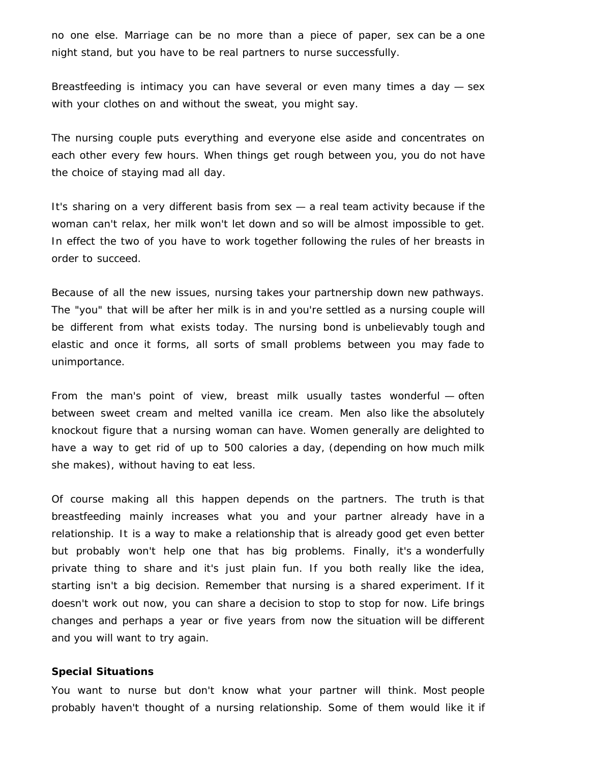no one else. Marriage can be no more than a piece of paper, sex can be a one night stand, but you have to be real partners to nurse successfully.

Breastfeeding is intimacy you can have several or even many times a day — sex with your clothes on and without the sweat, you might say.

The nursing couple puts everything and everyone else aside and concentrates on each other every few hours. When things get rough between you, you do not have the choice of staying mad all day.

It's sharing on a very different basis from sex — a real team activity because if the woman can't relax, her milk won't let down and so will be almost impossible to get. In effect the two of you have to work together following the rules of her breasts in order to succeed.

Because of all the new issues, nursing takes your partnership down new pathways. The "you" that will be after her milk is in and you're settled as a nursing couple will be different from what exists today. The nursing bond is unbelievably tough and elastic and once it forms, all sorts of small problems between you may fade to unimportance.

From the man's point of view, breast milk usually tastes wonderful — often between sweet cream and melted vanilla ice cream. Men also like the absolutely knockout figure that a nursing woman can have. Women generally are delighted to have a way to get rid of up to 500 calories a day, (depending on how much milk she makes), without having to eat less.

Of course making all this happen depends on the partners. The truth is that breastfeeding mainly increases what you and your partner already have in a relationship. It is a way to make a relationship that is already good get even better but probably won't help one that has big problems. Finally, it's a wonderfully private thing to share and it's just plain fun. If you both really like the idea, starting isn't a big decision. Remember that nursing is a shared experiment. If it doesn't work out now, you can share a decision to stop to stop for now. Life brings changes and perhaps a year or five years from now the situation will be different and you will want to try again.

#### **Special Situations**

You want to nurse but don't know what your partner will think. Most people probably haven't thought of a nursing relationship. Some of them would like it if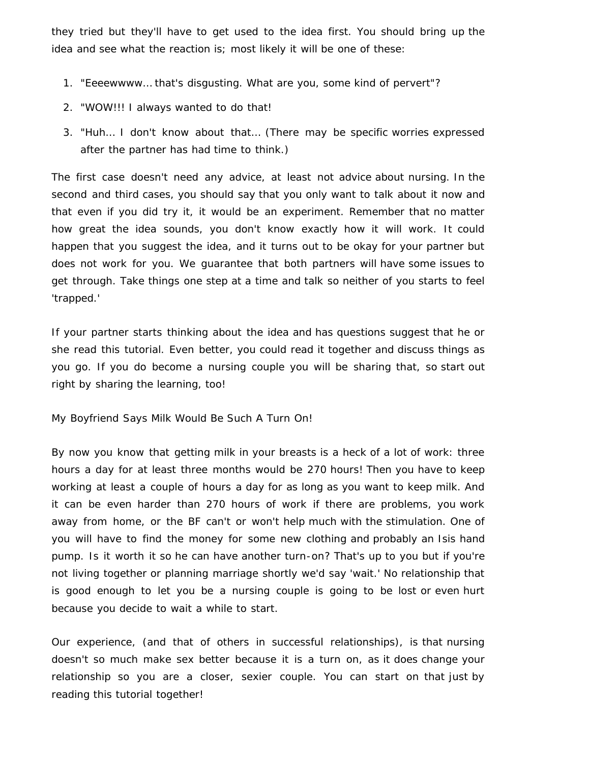they tried but they'll have to get used to the idea first. You should bring up the idea and see what the reaction is; most likely it will be one of these:

- 1. "Eeeewwww… that's disgusting. What are you, some kind of pervert"?
- 2. "WOW!!! I always wanted to do that!
- 3. "Huh… I don't know about that… (There may be specific worries expressed after the partner has had time to think.)

The first case doesn't need any advice, at least not advice about nursing. In the second and third cases, you should say that you only want to talk about it now and that even if you did try it, it would be an experiment. Remember that no matter how great the idea sounds, you don't know exactly how it will work. It could happen that you suggest the idea, and it turns out to be okay for your partner but does not work for you. We guarantee that both partners will have some issues to get through. Take things one step at a time and talk so neither of you starts to feel 'trapped.'

If your partner starts thinking about the idea and has questions suggest that he or she read this tutorial. Even better, you could read it together and discuss things as you go. If you do become a nursing couple you will be sharing that, so start out right by sharing the learning, too!

My Boyfriend Says Milk Would Be Such A Turn On!

By now you know that getting milk in your breasts is a heck of a lot of work: three hours a day for at least three months would be 270 hours! Then you have to keep working at least a couple of hours a day for as long as you want to keep milk. And it can be even harder than 270 hours of work if there are problems, you work away from home, or the BF can't or won't help much with the stimulation. One of you will have to find the money for some new clothing and probably an Isis hand pump. Is it worth it so he can have another turn-on? That's up to you but if you're not living together or planning marriage shortly we'd say 'wait.' No relationship that is good enough to let you be a nursing couple is going to be lost or even hurt because you decide to wait a while to start.

Our experience, (and that of others in successful relationships), is that nursing doesn't so much make sex better because it is a turn on, as it does change your relationship so you are a closer, sexier couple. You can start on that just by reading this tutorial together!